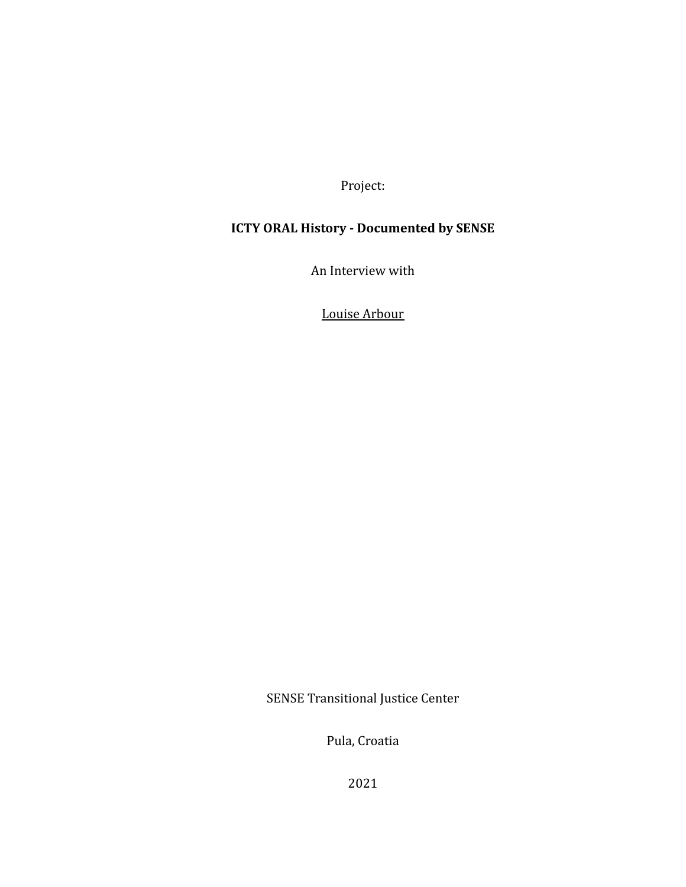Project:

## **ICTY ORAL History - Documented by SENSE**

An Interview with

Louise Arbour

SENSE Transitional Justice Center

Pula, Croatia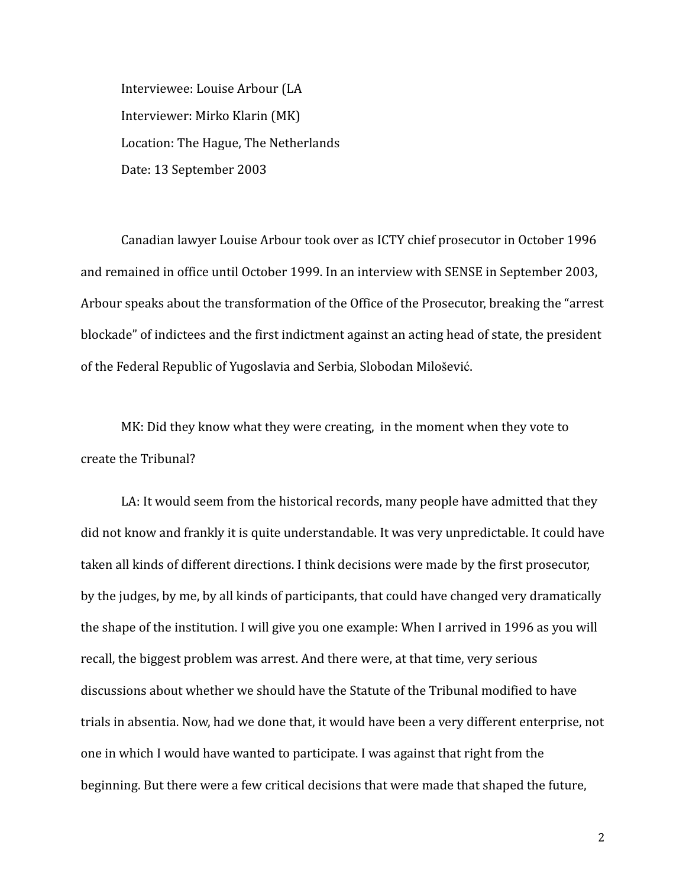Interviewee: Louise Arbour (LA Interviewer: Mirko Klarin (MK) Location: The Hague, The Netherlands Date: 13 September 2003

Canadian lawyer Louise Arbour took over as ICTY chief prosecutor in October 1996 and remained in office until October 1999. In an interview with SENSE in September 2003, Arbour speaks about the transformation of the Office of the Prosecutor, breaking the "arrest blockade" of indictees and the first indictment against an acting head of state, the president of the Federal Republic of Yugoslavia and Serbia, Slobodan Milošević.

MK: Did they know what they were creating, in the moment when they vote to create the Tribunal?

LA: It would seem from the historical records, many people have admitted that they did not know and frankly it is quite understandable. It was very unpredictable. It could have taken all kinds of different directions. I think decisions were made by the first prosecutor, by the judges, by me, by all kinds of participants, that could have changed very dramatically the shape of the institution. I will give you one example: When I arrived in 1996 as you will recall, the biggest problem was arrest. And there were, at that time, very serious discussions about whether we should have the Statute of the Tribunal modified to have trials in absentia. Now, had we done that, it would have been a very different enterprise, not one in which I would have wanted to participate. I was against that right from the beginning. But there were a few critical decisions that were made that shaped the future,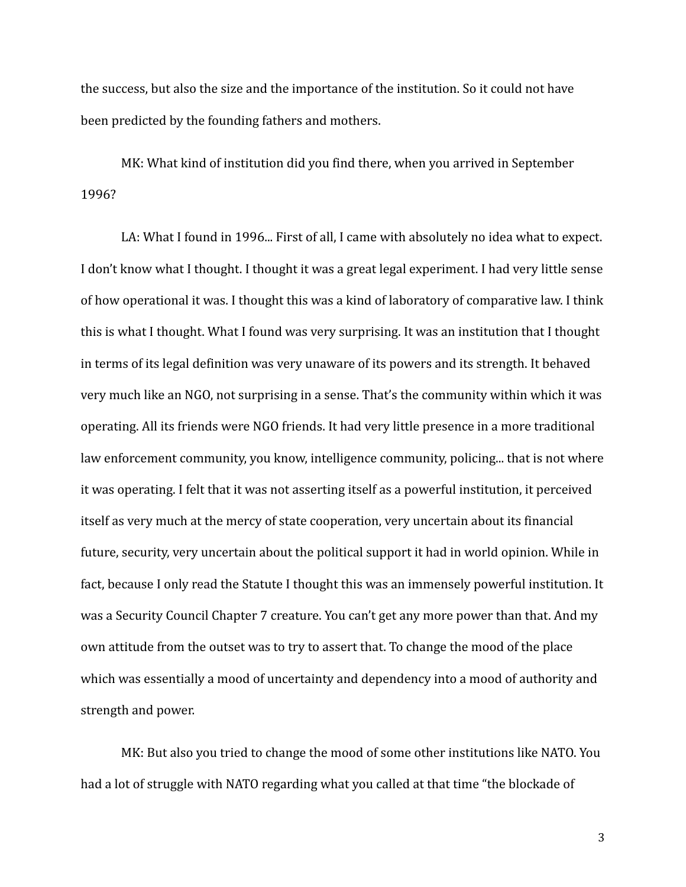the success, but also the size and the importance of the institution. So it could not have been predicted by the founding fathers and mothers.

MK: What kind of institution did you find there, when you arrived in September 1996?

LA: What I found in 1996... First of all, I came with absolutely no idea what to expect. I don't know what I thought. I thought it was a great legal experiment. I had very little sense of how operational it was. I thought this was a kind of laboratory of comparative law. I think this is what I thought. What I found was very surprising. It was an institution that I thought in terms of its legal definition was very unaware of its powers and its strength. It behaved very much like an NGO, not surprising in a sense. That's the community within which it was operating. All its friends were NGO friends. It had very little presence in a more traditional law enforcement community, you know, intelligence community, policing... that is not where it was operating. I felt that it was not asserting itself as a powerful institution, it perceived itself as very much at the mercy of state cooperation, very uncertain about its financial future, security, very uncertain about the political support it had in world opinion. While in fact, because I only read the Statute I thought this was an immensely powerful institution. It was a Security Council Chapter 7 creature. You can't get any more power than that. And my own attitude from the outset was to try to assert that. To change the mood of the place which was essentially a mood of uncertainty and dependency into a mood of authority and strength and power.

MK: But also you tried to change the mood of some other institutions like NATO. You had a lot of struggle with NATO regarding what you called at that time "the blockade of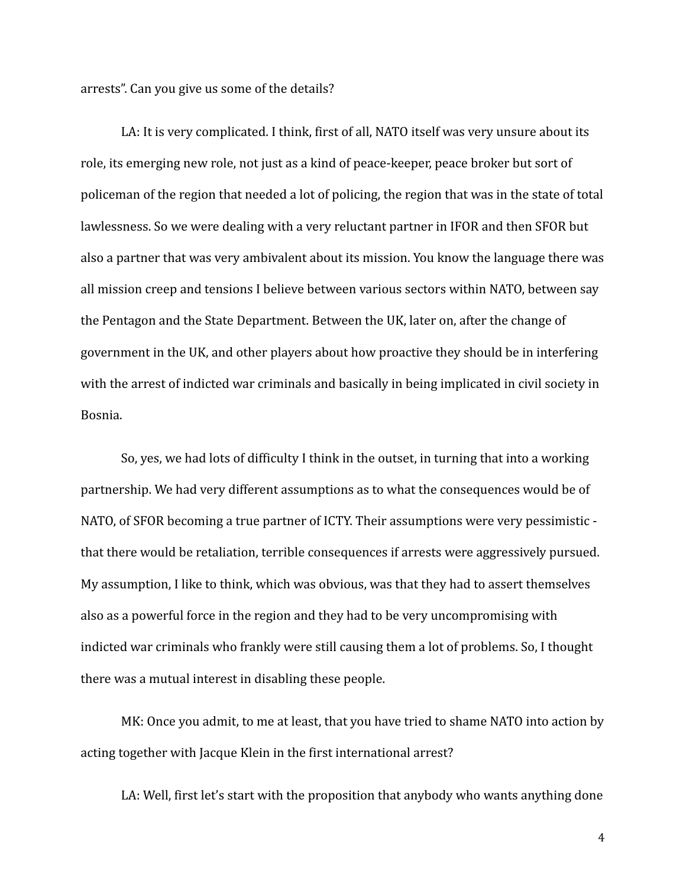arrests". Can you give us some of the details?

LA: It is very complicated. I think, first of all, NATO itself was very unsure about its role, its emerging new role, not just as a kind of peace-keeper, peace broker but sort of policeman of the region that needed a lot of policing, the region that was in the state of total lawlessness. So we were dealing with a very reluctant partner in IFOR and then SFOR but also a partner that was very ambivalent about its mission. You know the language there was all mission creep and tensions I believe between various sectors within NATO, between say the Pentagon and the State Department. Between the UK, later on, after the change of government in the UK, and other players about how proactive they should be in interfering with the arrest of indicted war criminals and basically in being implicated in civil society in Bosnia.

So, yes, we had lots of difficulty I think in the outset, in turning that into a working partnership. We had very different assumptions as to what the consequences would be of NATO, of SFOR becoming a true partner of ICTY. Their assumptions were very pessimistic that there would be retaliation, terrible consequences if arrests were aggressively pursued. My assumption, I like to think, which was obvious, was that they had to assert themselves also as a powerful force in the region and they had to be very uncompromising with indicted war criminals who frankly were still causing them a lot of problems. So, I thought there was a mutual interest in disabling these people.

MK: Once you admit, to me at least, that you have tried to shame NATO into action by acting together with Jacque Klein in the first international arrest?

LA: Well, first let's start with the proposition that anybody who wants anything done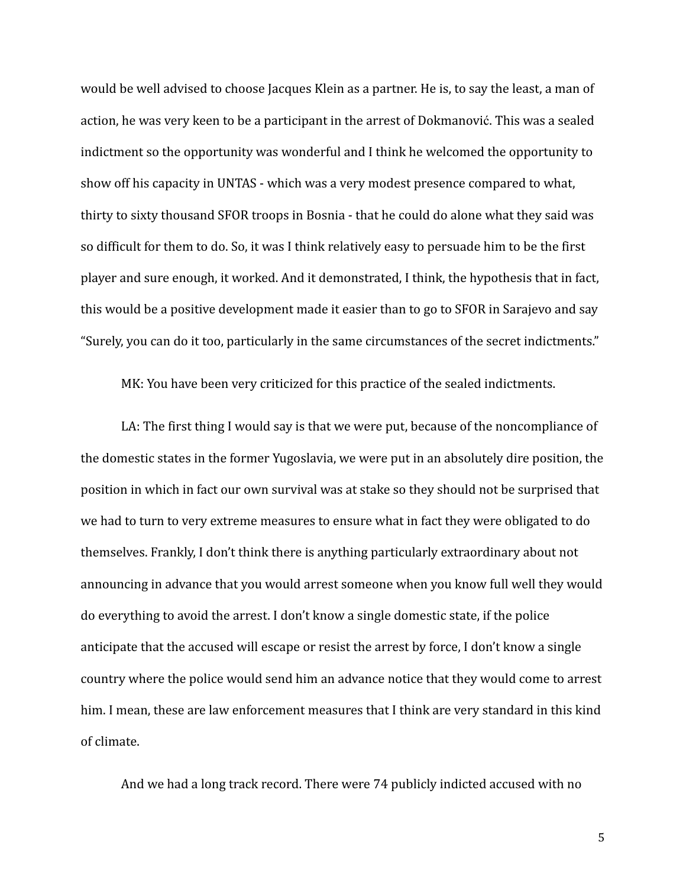would be well advised to choose Jacques Klein as a partner. He is, to say the least, a man of action, he was very keen to be a participant in the arrest of Dokmanović. This was a sealed indictment so the opportunity was wonderful and I think he welcomed the opportunity to show off his capacity in UNTAS - which was a very modest presence compared to what, thirty to sixty thousand SFOR troops in Bosnia - that he could do alone what they said was so difficult for them to do. So, it was I think relatively easy to persuade him to be the first player and sure enough, it worked. And it demonstrated, I think, the hypothesis that in fact, this would be a positive development made it easier than to go to SFOR in Sarajevo and say "Surely, you can do it too, particularly in the same circumstances of the secret indictments."

MK: You have been very criticized for this practice of the sealed indictments.

LA: The first thing I would say is that we were put, because of the noncompliance of the domestic states in the former Yugoslavia, we were put in an absolutely dire position, the position in which in fact our own survival was at stake so they should not be surprised that we had to turn to very extreme measures to ensure what in fact they were obligated to do themselves. Frankly, I don't think there is anything particularly extraordinary about not announcing in advance that you would arrest someone when you know full well they would do everything to avoid the arrest. I don't know a single domestic state, if the police anticipate that the accused will escape or resist the arrest by force, I don't know a single country where the police would send him an advance notice that they would come to arrest him. I mean, these are law enforcement measures that I think are very standard in this kind of climate.

And we had a long track record. There were 74 publicly indicted accused with no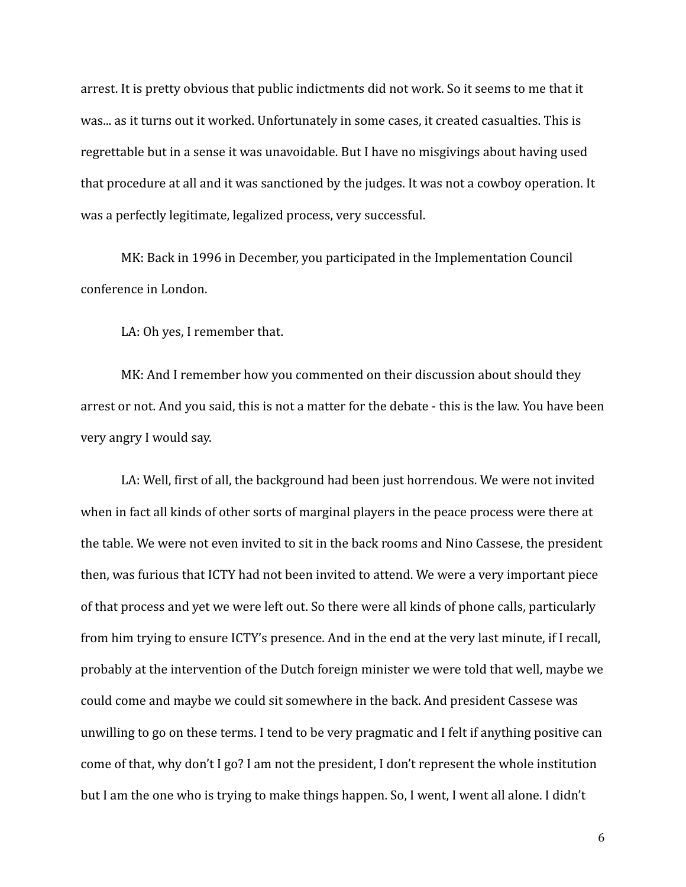arrest. It is pretty obvious that public indictments did not work. So it seems to me that it was... as it turns out it worked. Unfortunately in some cases, it created casualties. This is regrettable but in a sense it was unavoidable. But I have no misgivings about having used that procedure at all and it was sanctioned by the judges. It was not a cowboy operation. It was a perfectly legitimate, legalized process, very successful.

MK: Back in 1996 in December, you participated in the Implementation Council conference in London.

LA: Oh yes, I remember that.

MK: And I remember how you commented on their discussion about should they arrest or not. And you said, this is not a matter for the debate - this is the law. You have been very angry I would say.

LA: Well, first of all, the background had been just horrendous. We were not invited when in fact all kinds of other sorts of marginal players in the peace process were there at the table. We were not even invited to sit in the back rooms and Nino Cassese, the president then, was furious that ICTY had not been invited to attend. We were a very important piece of that process and yet we were left out. So there were all kinds of phone calls, particularly from him trying to ensure ICTY's presence. And in the end at the very last minute, if I recall, probably at the intervention of the Dutch foreign minister we were told that well, maybe we could come and maybe we could sit somewhere in the back. And president Cassese was unwilling to go on these terms. I tend to be very pragmatic and I felt if anything positive can come of that, why don't I go? I am not the president, I don't represent the whole institution but I am the one who is trying to make things happen. So, I went, I went all alone. I didn't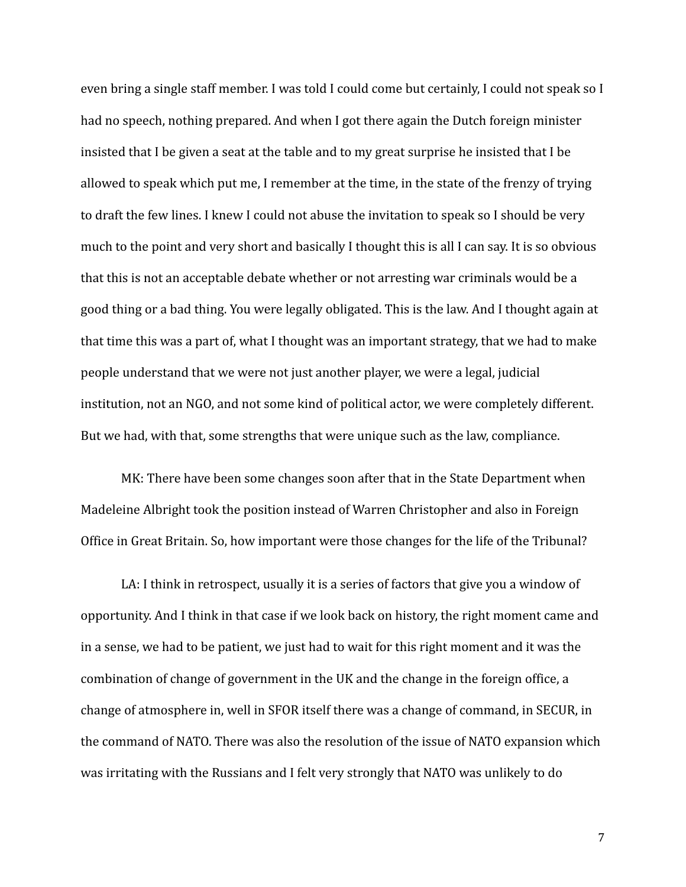even bring a single staff member. I was told I could come but certainly, I could not speak so I had no speech, nothing prepared. And when I got there again the Dutch foreign minister insisted that I be given a seat at the table and to my great surprise he insisted that I be allowed to speak which put me, I remember at the time, in the state of the frenzy of trying to draft the few lines. I knew I could not abuse the invitation to speak so I should be very much to the point and very short and basically I thought this is all I can say. It is so obvious that this is not an acceptable debate whether or not arresting war criminals would be a good thing or a bad thing. You were legally obligated. This is the law. And I thought again at that time this was a part of, what I thought was an important strategy, that we had to make people understand that we were not just another player, we were a legal, judicial institution, not an NGO, and not some kind of political actor, we were completely different. But we had, with that, some strengths that were unique such as the law, compliance.

MK: There have been some changes soon after that in the State Department when Madeleine Albright took the position instead of Warren Christopher and also in Foreign Office in Great Britain. So, how important were those changes for the life of the Tribunal?

LA: I think in retrospect, usually it is a series of factors that give you a window of opportunity. And I think in that case if we look back on history, the right moment came and in a sense, we had to be patient, we just had to wait for this right moment and it was the combination of change of government in the UK and the change in the foreign office, a change of atmosphere in, well in SFOR itself there was a change of command, in SECUR, in the command of NATO. There was also the resolution of the issue of NATO expansion which was irritating with the Russians and I felt very strongly that NATO was unlikely to do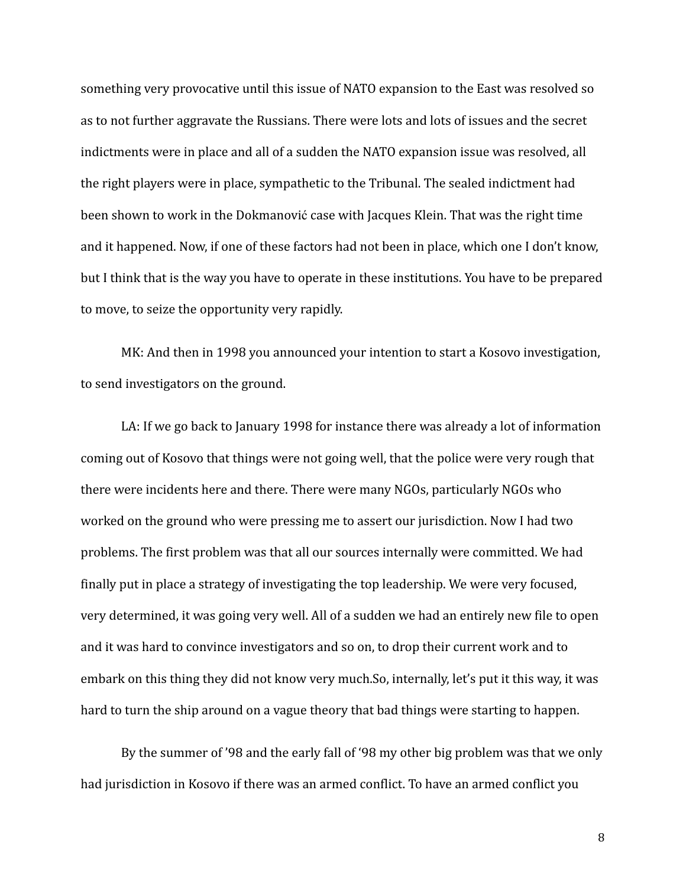something very provocative until this issue of NATO expansion to the East was resolved so as to not further aggravate the Russians. There were lots and lots of issues and the secret indictments were in place and all of a sudden the NATO expansion issue was resolved, all the right players were in place, sympathetic to the Tribunal. The sealed indictment had been shown to work in the Dokmanović case with Jacques Klein. That was the right time and it happened. Now, if one of these factors had not been in place, which one I don't know, but I think that is the way you have to operate in these institutions. You have to be prepared to move, to seize the opportunity very rapidly.

MK: And then in 1998 you announced your intention to start a Kosovo investigation, to send investigators on the ground.

LA: If we go back to January 1998 for instance there was already a lot of information coming out of Kosovo that things were not going well, that the police were very rough that there were incidents here and there. There were many NGOs, particularly NGOs who worked on the ground who were pressing me to assert our jurisdiction. Now I had two problems. The first problem was that all our sources internally were committed. We had finally put in place a strategy of investigating the top leadership. We were very focused, very determined, it was going very well. All of a sudden we had an entirely new file to open and it was hard to convince investigators and so on, to drop their current work and to embark on this thing they did not know very much.So, internally, let's put it this way, it was hard to turn the ship around on a vague theory that bad things were starting to happen.

By the summer of '98 and the early fall of '98 my other big problem was that we only had jurisdiction in Kosovo if there was an armed conflict. To have an armed conflict you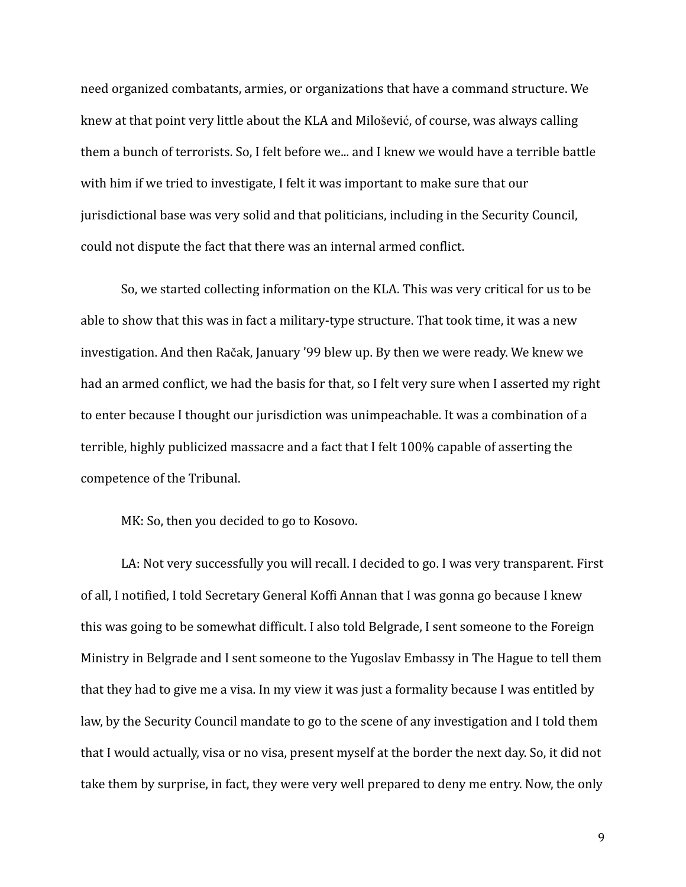need organized combatants, armies, or organizations that have a command structure. We knew at that point very little about the KLA and Milošević, of course, was always calling them a bunch of terrorists. So, I felt before we... and I knew we would have a terrible battle with him if we tried to investigate, I felt it was important to make sure that our jurisdictional base was very solid and that politicians, including in the Security Council, could not dispute the fact that there was an internal armed conflict.

So, we started collecting information on the KLA. This was very critical for us to be able to show that this was in fact a military-type structure. That took time, it was a new investigation. And then Račak, January '99 blew up. By then we were ready. We knew we had an armed conflict, we had the basis for that, so I felt very sure when I asserted my right to enter because I thought our jurisdiction was unimpeachable. It was a combination of a terrible, highly publicized massacre and a fact that I felt 100% capable of asserting the competence of the Tribunal.

MK: So, then you decided to go to Kosovo.

LA: Not very successfully you will recall. I decided to go. I was very transparent. First of all, I notified, I told Secretary General Koffi Annan that I was gonna go because I knew this was going to be somewhat difficult. I also told Belgrade, I sent someone to the Foreign Ministry in Belgrade and I sent someone to the Yugoslav Embassy in The Hague to tell them that they had to give me a visa. In my view it was just a formality because I was entitled by law, by the Security Council mandate to go to the scene of any investigation and I told them that I would actually, visa or no visa, present myself at the border the next day. So, it did not take them by surprise, in fact, they were very well prepared to deny me entry. Now, the only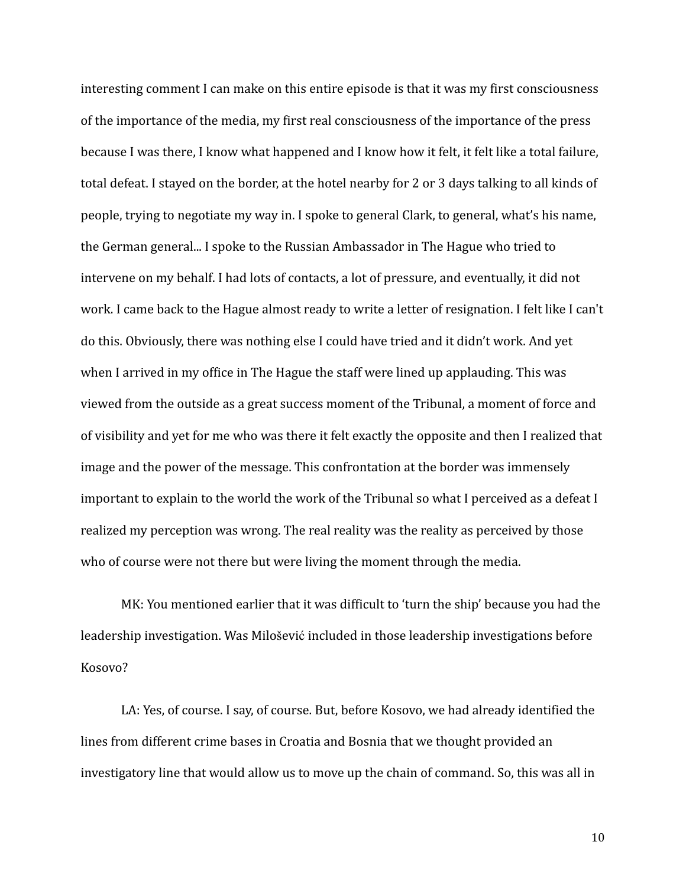interesting comment I can make on this entire episode is that it was my first consciousness of the importance of the media, my first real consciousness of the importance of the press because I was there, I know what happened and I know how it felt, it felt like a total failure, total defeat. I stayed on the border, at the hotel nearby for 2 or 3 days talking to all kinds of people, trying to negotiate my way in. I spoke to general Clark, to general, what's his name, the German general... I spoke to the Russian Ambassador in The Hague who tried to intervene on my behalf. I had lots of contacts, a lot of pressure, and eventually, it did not work. I came back to the Hague almost ready to write a letter of resignation. I felt like I can't do this. Obviously, there was nothing else I could have tried and it didn't work. And yet when I arrived in my office in The Hague the staff were lined up applauding. This was viewed from the outside as a great success moment of the Tribunal, a moment of force and of visibility and yet for me who was there it felt exactly the opposite and then I realized that image and the power of the message. This confrontation at the border was immensely important to explain to the world the work of the Tribunal so what I perceived as a defeat I realized my perception was wrong. The real reality was the reality as perceived by those who of course were not there but were living the moment through the media.

MK: You mentioned earlier that it was difficult to 'turn the ship' because you had the leadership investigation. Was Milošević included in those leadership investigations before Kosovo?

LA: Yes, of course. I say, of course. But, before Kosovo, we had already identified the lines from different crime bases in Croatia and Bosnia that we thought provided an investigatory line that would allow us to move up the chain of command. So, this was all in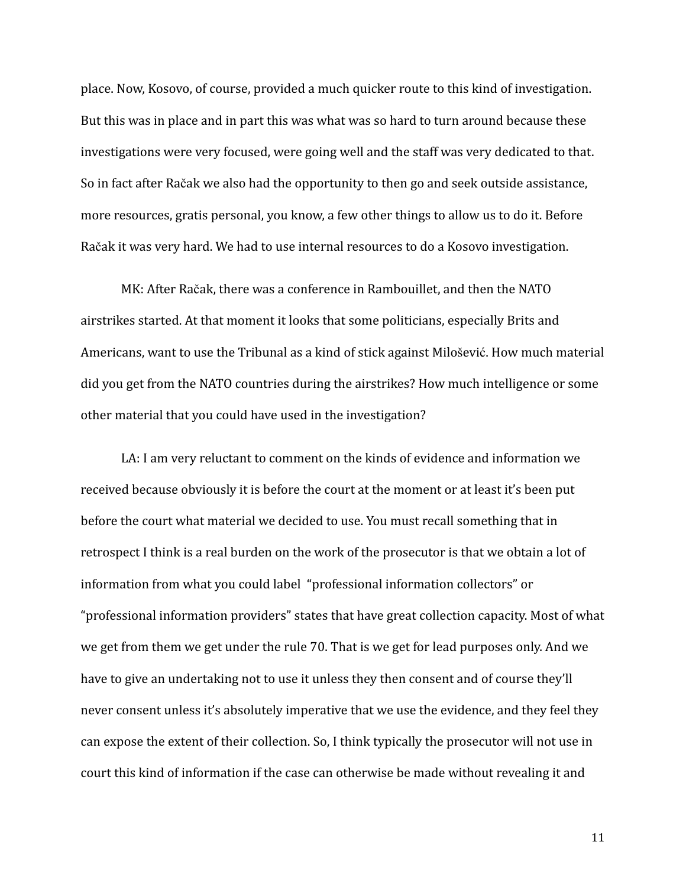place. Now, Kosovo, of course, provided a much quicker route to this kind of investigation. But this was in place and in part this was what was so hard to turn around because these investigations were very focused, were going well and the staff was very dedicated to that. So in fact after Račak we also had the opportunity to then go and seek outside assistance, more resources, gratis personal, you know, a few other things to allow us to do it. Before Račak it was very hard. We had to use internal resources to do a Kosovo investigation.

MK: After Račak, there was a conference in Rambouillet, and then the NATO airstrikes started. At that moment it looks that some politicians, especially Brits and Americans, want to use the Tribunal as a kind of stick against Milošević. How much material did you get from the NATO countries during the airstrikes? How much intelligence or some other material that you could have used in the investigation?

LA: I am very reluctant to comment on the kinds of evidence and information we received because obviously it is before the court at the moment or at least it's been put before the court what material we decided to use. You must recall something that in retrospect I think is a real burden on the work of the prosecutor is that we obtain a lot of information from what you could label "professional information collectors" or "professional information providers" states that have great collection capacity. Most of what we get from them we get under the rule 70. That is we get for lead purposes only. And we have to give an undertaking not to use it unless they then consent and of course they'll never consent unless it's absolutely imperative that we use the evidence, and they feel they can expose the extent of their collection. So, I think typically the prosecutor will not use in court this kind of information if the case can otherwise be made without revealing it and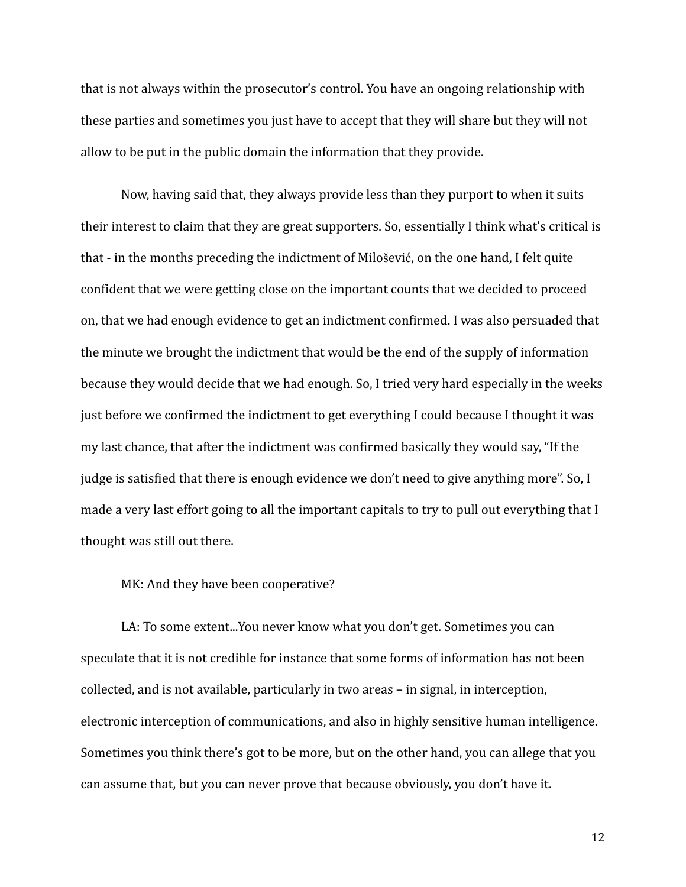that is not always within the prosecutor's control. You have an ongoing relationship with these parties and sometimes you just have to accept that they will share but they will not allow to be put in the public domain the information that they provide.

Now, having said that, they always provide less than they purport to when it suits their interest to claim that they are great supporters. So, essentially I think what's critical is that - in the months preceding the indictment of Milošević, on the one hand, I felt quite confident that we were getting close on the important counts that we decided to proceed on, that we had enough evidence to get an indictment confirmed. I was also persuaded that the minute we brought the indictment that would be the end of the supply of information because they would decide that we had enough. So, I tried very hard especially in the weeks just before we confirmed the indictment to get everything I could because I thought it was my last chance, that after the indictment was confirmed basically they would say, "If the judge is satisfied that there is enough evidence we don't need to give anything more". So, I made a very last effort going to all the important capitals to try to pull out everything that I thought was still out there.

## MK: And they have been cooperative?

LA: To some extent...You never know what you don't get. Sometimes you can speculate that it is not credible for instance that some forms of information has not been collected, and is not available, particularly in two areas – in signal, in interception, electronic interception of communications, and also in highly sensitive human intelligence. Sometimes you think there's got to be more, but on the other hand, you can allege that you can assume that, but you can never prove that because obviously, you don't have it.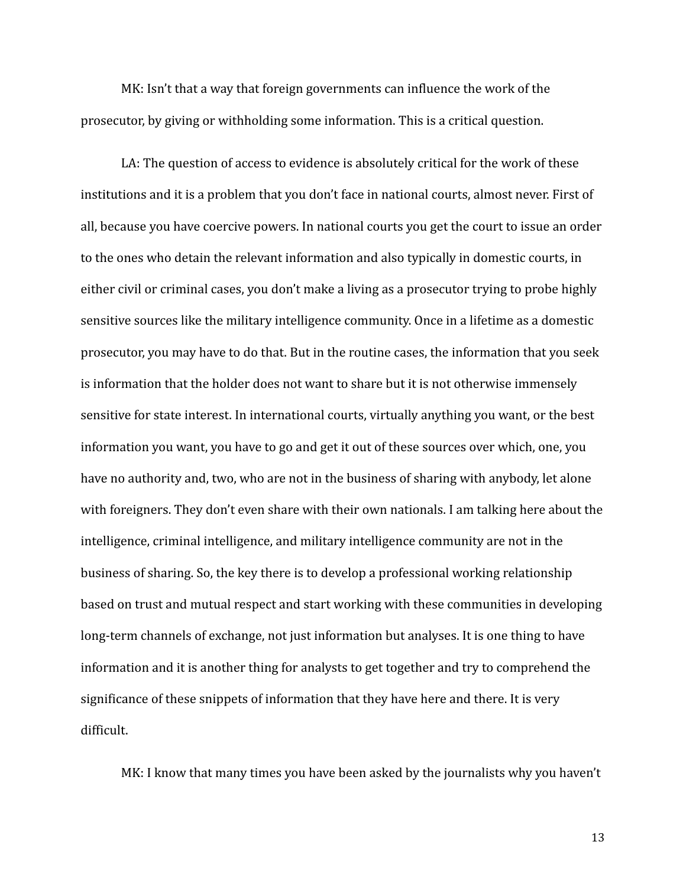MK: Isn't that a way that foreign governments can influence the work of the prosecutor, by giving or withholding some information. This is a critical question.

LA: The question of access to evidence is absolutely critical for the work of these institutions and it is a problem that you don't face in national courts, almost never. First of all, because you have coercive powers. In national courts you get the court to issue an order to the ones who detain the relevant information and also typically in domestic courts, in either civil or criminal cases, you don't make a living as a prosecutor trying to probe highly sensitive sources like the military intelligence community. Once in a lifetime as a domestic prosecutor, you may have to do that. But in the routine cases, the information that you seek is information that the holder does not want to share but it is not otherwise immensely sensitive for state interest. In international courts, virtually anything you want, or the best information you want, you have to go and get it out of these sources over which, one, you have no authority and, two, who are not in the business of sharing with anybody, let alone with foreigners. They don't even share with their own nationals. I am talking here about the intelligence, criminal intelligence, and military intelligence community are not in the business of sharing. So, the key there is to develop a professional working relationship based on trust and mutual respect and start working with these communities in developing long-term channels of exchange, not just information but analyses. It is one thing to have information and it is another thing for analysts to get together and try to comprehend the significance of these snippets of information that they have here and there. It is very difficult.

MK: I know that many times you have been asked by the journalists why you haven't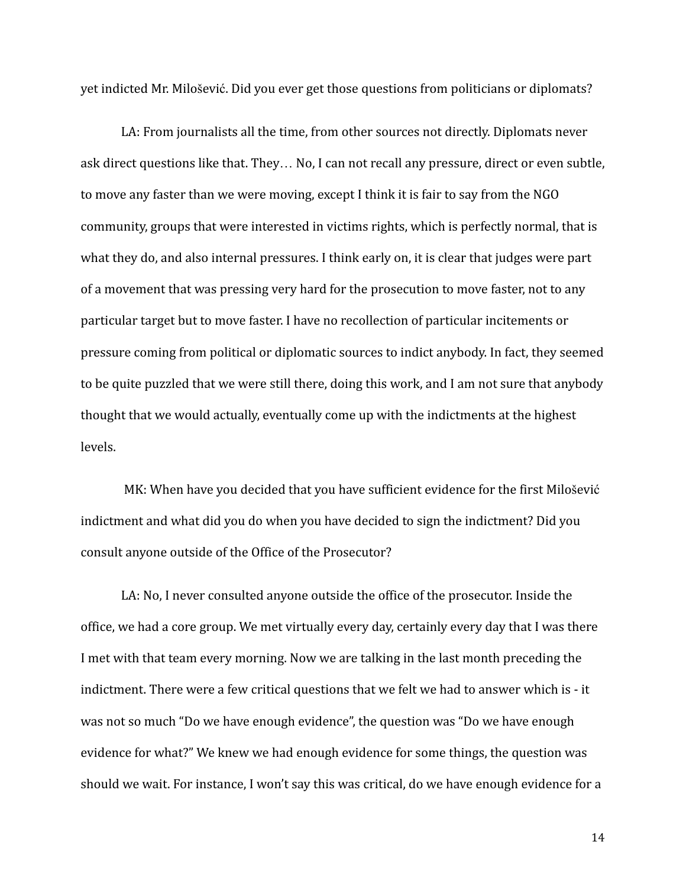yet indicted Mr. Milošević. Did you ever get those questions from politicians or diplomats?

LA: From journalists all the time, from other sources not directly. Diplomats never ask direct questions like that. They… No, I can not recall any pressure, direct or even subtle, to move any faster than we were moving, except I think it is fair to say from the NGO community, groups that were interested in victims rights, which is perfectly normal, that is what they do, and also internal pressures. I think early on, it is clear that judges were part of a movement that was pressing very hard for the prosecution to move faster, not to any particular target but to move faster. I have no recollection of particular incitements or pressure coming from political or diplomatic sources to indict anybody. In fact, they seemed to be quite puzzled that we were still there, doing this work, and I am not sure that anybody thought that we would actually, eventually come up with the indictments at the highest levels.

MK: When have you decided that you have sufficient evidence for the first Milošević indictment and what did you do when you have decided to sign the indictment? Did you consult anyone outside of the Office of the Prosecutor?

LA: No, I never consulted anyone outside the office of the prosecutor. Inside the office, we had a core group. We met virtually every day, certainly every day that I was there I met with that team every morning. Now we are talking in the last month preceding the indictment. There were a few critical questions that we felt we had to answer which is - it was not so much "Do we have enough evidence", the question was "Do we have enough evidence for what?" We knew we had enough evidence for some things, the question was should we wait. For instance, I won't say this was critical, do we have enough evidence for a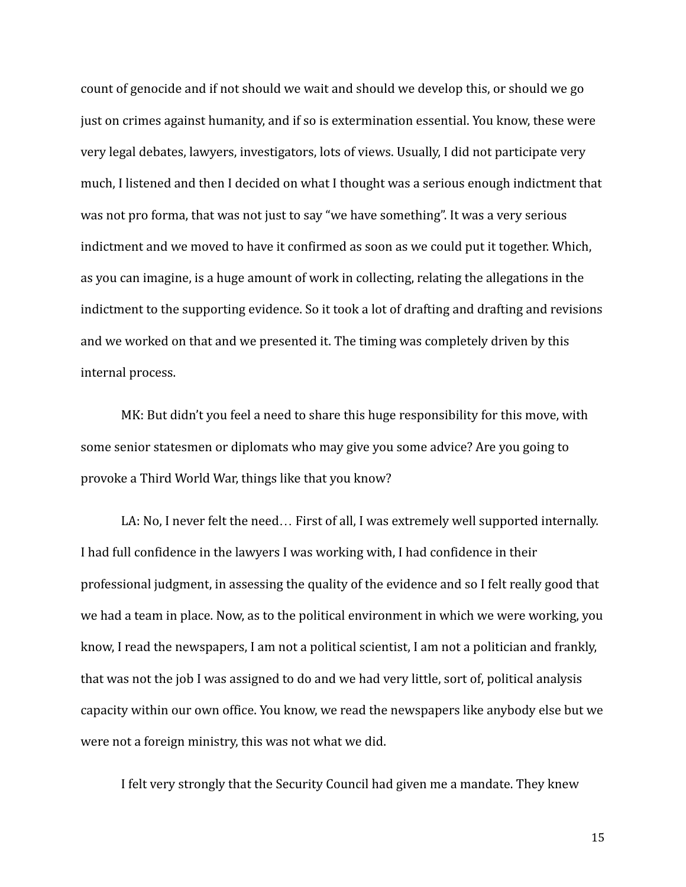count of genocide and if not should we wait and should we develop this, or should we go just on crimes against humanity, and if so is extermination essential. You know, these were very legal debates, lawyers, investigators, lots of views. Usually, I did not participate very much, I listened and then I decided on what I thought was a serious enough indictment that was not pro forma, that was not just to say "we have something". It was a very serious indictment and we moved to have it confirmed as soon as we could put it together. Which, as you can imagine, is a huge amount of work in collecting, relating the allegations in the indictment to the supporting evidence. So it took a lot of drafting and drafting and revisions and we worked on that and we presented it. The timing was completely driven by this internal process.

MK: But didn't you feel a need to share this huge responsibility for this move, with some senior statesmen or diplomats who may give you some advice? Are you going to provoke a Third World War, things like that you know?

LA: No, I never felt the need… First of all, I was extremely well supported internally. I had full confidence in the lawyers I was working with, I had confidence in their professional judgment, in assessing the quality of the evidence and so I felt really good that we had a team in place. Now, as to the political environment in which we were working, you know, I read the newspapers, I am not a political scientist, I am not a politician and frankly, that was not the job I was assigned to do and we had very little, sort of, political analysis capacity within our own office. You know, we read the newspapers like anybody else but we were not a foreign ministry, this was not what we did.

I felt very strongly that the Security Council had given me a mandate. They knew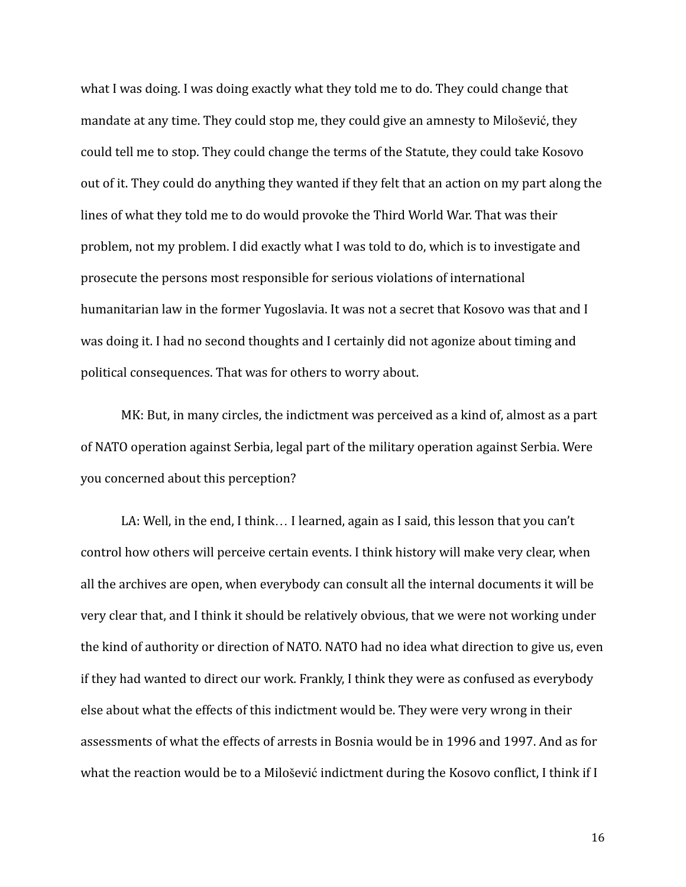what I was doing. I was doing exactly what they told me to do. They could change that mandate at any time. They could stop me, they could give an amnesty to Milošević, they could tell me to stop. They could change the terms of the Statute, they could take Kosovo out of it. They could do anything they wanted if they felt that an action on my part along the lines of what they told me to do would provoke the Third World War. That was their problem, not my problem. I did exactly what I was told to do, which is to investigate and prosecute the persons most responsible for serious violations of international humanitarian law in the former Yugoslavia. It was not a secret that Kosovo was that and I was doing it. I had no second thoughts and I certainly did not agonize about timing and political consequences. That was for others to worry about.

MK: But, in many circles, the indictment was perceived as a kind of, almost as a part of NATO operation against Serbia, legal part of the military operation against Serbia. Were you concerned about this perception?

LA: Well, in the end, I think… I learned, again as I said, this lesson that you can't control how others will perceive certain events. I think history will make very clear, when all the archives are open, when everybody can consult all the internal documents it will be very clear that, and I think it should be relatively obvious, that we were not working under the kind of authority or direction of NATO. NATO had no idea what direction to give us, even if they had wanted to direct our work. Frankly, I think they were as confused as everybody else about what the effects of this indictment would be. They were very wrong in their assessments of what the effects of arrests in Bosnia would be in 1996 and 1997. And as for what the reaction would be to a Milošević indictment during the Kosovo conflict, I think if I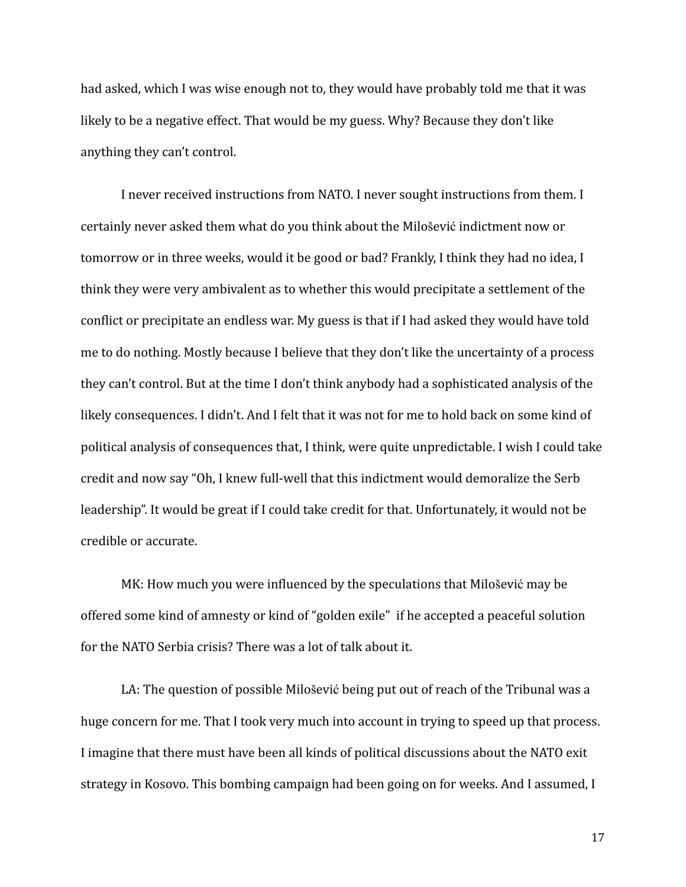had asked, which I was wise enough not to, they would have probably told me that it was likely to be a negative effect. That would be my guess. Why? Because they don't like anything they can't control.

I never received instructions from NATO. I never sought instructions from them. I certainly never asked them what do you think about the Milošević indictment now or tomorrow or in three weeks, would it be good or bad? Frankly, I think they had no idea, I think they were very ambivalent as to whether this would precipitate a settlement of the conflict or precipitate an endless war. My guess is that if I had asked they would have told me to do nothing. Mostly because I believe that they don't like the uncertainty of a process they can't control. But at the time I don't think anybody had a sophisticated analysis of the likely consequences. I didn't. And I felt that it was not for me to hold back on some kind of political analysis of consequences that, I think, were quite unpredictable. I wish I could take credit and now say "Oh, I knew full-well that this indictment would demoralize the Serb leadership". It would be great if I could take credit for that. Unfortunately, it would not be credible or accurate.

MK: How much you were influenced by the speculations that Milošević may be offered some kind of amnesty or kind of "golden exile" if he accepted a peaceful solution for the NATO Serbia crisis? There was a lot of talk about it.

LA: The question of possible Milošević being put out of reach of the Tribunal was a huge concern for me. That I took very much into account in trying to speed up that process. I imagine that there must have been all kinds of political discussions about the NATO exit strategy in Kosovo. This bombing campaign had been going on for weeks. And I assumed, I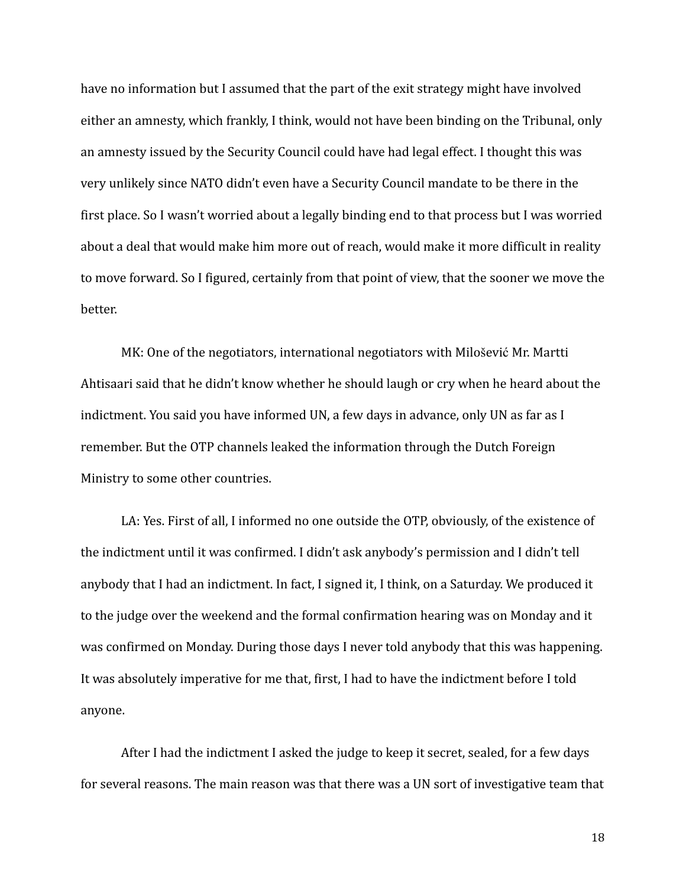have no information but I assumed that the part of the exit strategy might have involved either an amnesty, which frankly, I think, would not have been binding on the Tribunal, only an amnesty issued by the Security Council could have had legal effect. I thought this was very unlikely since NATO didn't even have a Security Council mandate to be there in the first place. So I wasn't worried about a legally binding end to that process but I was worried about a deal that would make him more out of reach, would make it more difficult in reality to move forward. So I figured, certainly from that point of view, that the sooner we move the better.

MK: One of the negotiators, international negotiators with Milošević Mr. Martti Ahtisaari said that he didn't know whether he should laugh or cry when he heard about the indictment. You said you have informed UN, a few days in advance, only UN as far as I remember. But the OTP channels leaked the information through the Dutch Foreign Ministry to some other countries.

LA: Yes. First of all, I informed no one outside the OTP, obviously, of the existence of the indictment until it was confirmed. I didn't ask anybody's permission and I didn't tell anybody that I had an indictment. In fact, I signed it, I think, on a Saturday. We produced it to the judge over the weekend and the formal confirmation hearing was on Monday and it was confirmed on Monday. During those days I never told anybody that this was happening. It was absolutely imperative for me that, first, I had to have the indictment before I told anyone.

After I had the indictment I asked the judge to keep it secret, sealed, for a few days for several reasons. The main reason was that there was a UN sort of investigative team that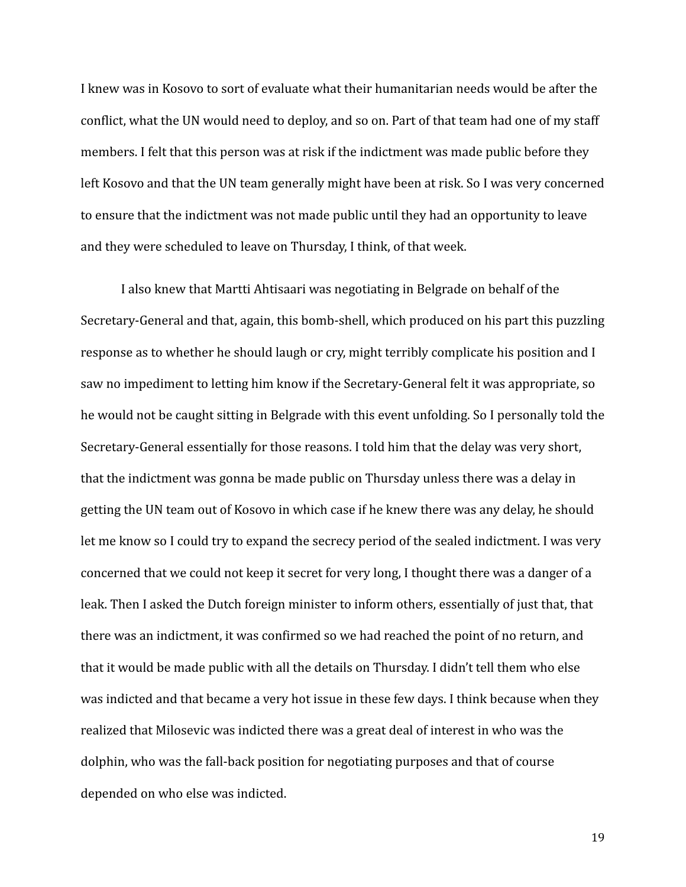I knew was in Kosovo to sort of evaluate what their humanitarian needs would be after the conflict, what the UN would need to deploy, and so on. Part of that team had one of my staff members. I felt that this person was at risk if the indictment was made public before they left Kosovo and that the UN team generally might have been at risk. So I was very concerned to ensure that the indictment was not made public until they had an opportunity to leave and they were scheduled to leave on Thursday, I think, of that week.

I also knew that Martti Ahtisaari was negotiating in Belgrade on behalf of the Secretary-General and that, again, this bomb-shell, which produced on his part this puzzling response as to whether he should laugh or cry, might terribly complicate his position and I saw no impediment to letting him know if the Secretary-General felt it was appropriate, so he would not be caught sitting in Belgrade with this event unfolding. So I personally told the Secretary-General essentially for those reasons. I told him that the delay was very short, that the indictment was gonna be made public on Thursday unless there was a delay in getting the UN team out of Kosovo in which case if he knew there was any delay, he should let me know so I could try to expand the secrecy period of the sealed indictment. I was very concerned that we could not keep it secret for very long, I thought there was a danger of a leak. Then I asked the Dutch foreign minister to inform others, essentially of just that, that there was an indictment, it was confirmed so we had reached the point of no return, and that it would be made public with all the details on Thursday. I didn't tell them who else was indicted and that became a very hot issue in these few days. I think because when they realized that Milosevic was indicted there was a great deal of interest in who was the dolphin, who was the fall-back position for negotiating purposes and that of course depended on who else was indicted.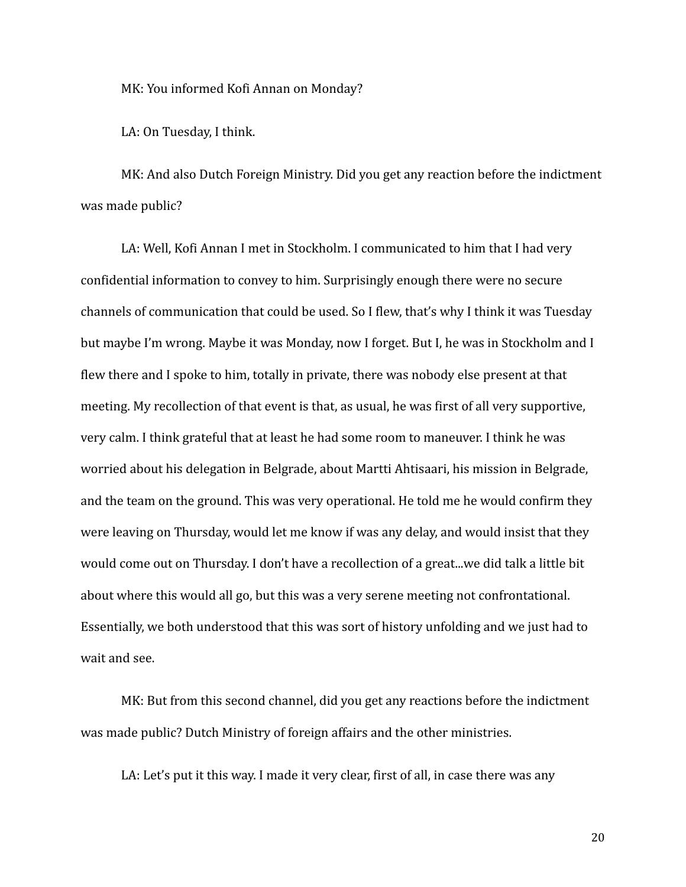MK: You informed Kofi Annan on Monday?

LA: On Tuesday, I think.

MK: And also Dutch Foreign Ministry. Did you get any reaction before the indictment was made public?

LA: Well, Kofi Annan I met in Stockholm. I communicated to him that I had very confidential information to convey to him. Surprisingly enough there were no secure channels of communication that could be used. So I flew, that's why I think it was Tuesday but maybe I'm wrong. Maybe it was Monday, now I forget. But I, he was in Stockholm and I flew there and I spoke to him, totally in private, there was nobody else present at that meeting. My recollection of that event is that, as usual, he was first of all very supportive, very calm. I think grateful that at least he had some room to maneuver. I think he was worried about his delegation in Belgrade, about Martti Ahtisaari, his mission in Belgrade, and the team on the ground. This was very operational. He told me he would confirm they were leaving on Thursday, would let me know if was any delay, and would insist that they would come out on Thursday. I don't have a recollection of a great...we did talk a little bit about where this would all go, but this was a very serene meeting not confrontational. Essentially, we both understood that this was sort of history unfolding and we just had to wait and see.

MK: But from this second channel, did you get any reactions before the indictment was made public? Dutch Ministry of foreign affairs and the other ministries.

LA: Let's put it this way. I made it very clear, first of all, in case there was any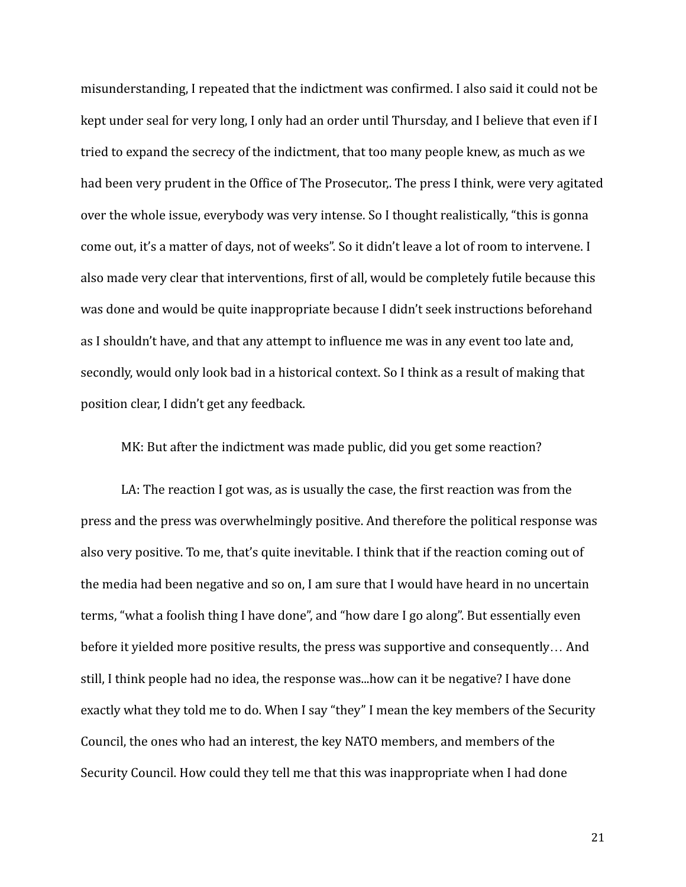misunderstanding, I repeated that the indictment was confirmed. I also said it could not be kept under seal for very long, I only had an order until Thursday, and I believe that even if I tried to expand the secrecy of the indictment, that too many people knew, as much as we had been very prudent in the Office of The Prosecutor,. The press I think, were very agitated over the whole issue, everybody was very intense. So I thought realistically, "this is gonna come out, it's a matter of days, not of weeks". So it didn't leave a lot of room to intervene. I also made very clear that interventions, first of all, would be completely futile because this was done and would be quite inappropriate because I didn't seek instructions beforehand as I shouldn't have, and that any attempt to influence me was in any event too late and, secondly, would only look bad in a historical context. So I think as a result of making that position clear, I didn't get any feedback.

MK: But after the indictment was made public, did you get some reaction?

LA: The reaction I got was, as is usually the case, the first reaction was from the press and the press was overwhelmingly positive. And therefore the political response was also very positive. To me, that's quite inevitable. I think that if the reaction coming out of the media had been negative and so on, I am sure that I would have heard in no uncertain terms, "what a foolish thing I have done", and "how dare I go along". But essentially even before it yielded more positive results, the press was supportive and consequently… And still, I think people had no idea, the response was...how can it be negative? I have done exactly what they told me to do. When I say "they" I mean the key members of the Security Council, the ones who had an interest, the key NATO members, and members of the Security Council. How could they tell me that this was inappropriate when I had done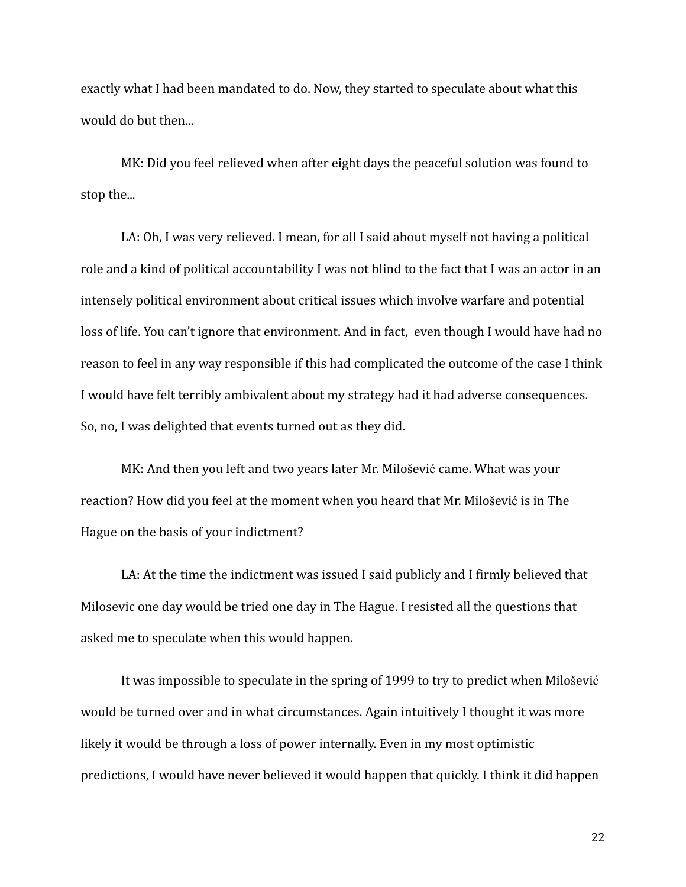exactly what I had been mandated to do. Now, they started to speculate about what this would do but then...

MK: Did you feel relieved when after eight days the peaceful solution was found to stop the...

LA: Oh, I was very relieved. I mean, for all I said about myself not having a political role and a kind of political accountability I was not blind to the fact that I was an actor in an intensely political environment about critical issues which involve warfare and potential loss of life. You can't ignore that environment. And in fact, even though I would have had no reason to feel in any way responsible if this had complicated the outcome of the case I think I would have felt terribly ambivalent about my strategy had it had adverse consequences. So, no, I was delighted that events turned out as they did.

MK: And then you left and two years later Mr. Milošević came. What was your reaction? How did you feel at the moment when you heard that Mr. Milošević is in The Hague on the basis of your indictment?

LA: At the time the indictment was issued I said publicly and I firmly believed that Milosevic one day would be tried one day in The Hague. I resisted all the questions that asked me to speculate when this would happen.

It was impossible to speculate in the spring of 1999 to try to predict when Milošević would be turned over and in what circumstances. Again intuitively I thought it was more likely it would be through a loss of power internally. Even in my most optimistic predictions, I would have never believed it would happen that quickly. I think it did happen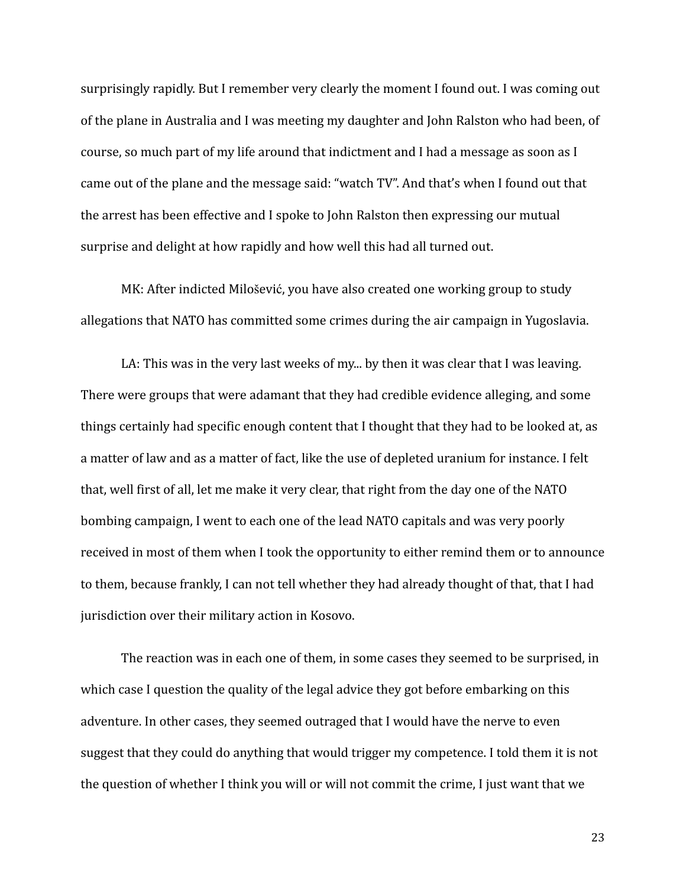surprisingly rapidly. But I remember very clearly the moment I found out. I was coming out of the plane in Australia and I was meeting my daughter and John Ralston who had been, of course, so much part of my life around that indictment and I had a message as soon as I came out of the plane and the message said: "watch TV". And that's when I found out that the arrest has been effective and I spoke to John Ralston then expressing our mutual surprise and delight at how rapidly and how well this had all turned out.

MK: After indicted Milošević, you have also created one working group to study allegations that NATO has committed some crimes during the air campaign in Yugoslavia.

LA: This was in the very last weeks of my... by then it was clear that I was leaving. There were groups that were adamant that they had credible evidence alleging, and some things certainly had specific enough content that I thought that they had to be looked at, as a matter of law and as a matter of fact, like the use of depleted uranium for instance. I felt that, well first of all, let me make it very clear, that right from the day one of the NATO bombing campaign, I went to each one of the lead NATO capitals and was very poorly received in most of them when I took the opportunity to either remind them or to announce to them, because frankly, I can not tell whether they had already thought of that, that I had jurisdiction over their military action in Kosovo.

The reaction was in each one of them, in some cases they seemed to be surprised, in which case I question the quality of the legal advice they got before embarking on this adventure. In other cases, they seemed outraged that I would have the nerve to even suggest that they could do anything that would trigger my competence. I told them it is not the question of whether I think you will or will not commit the crime, I just want that we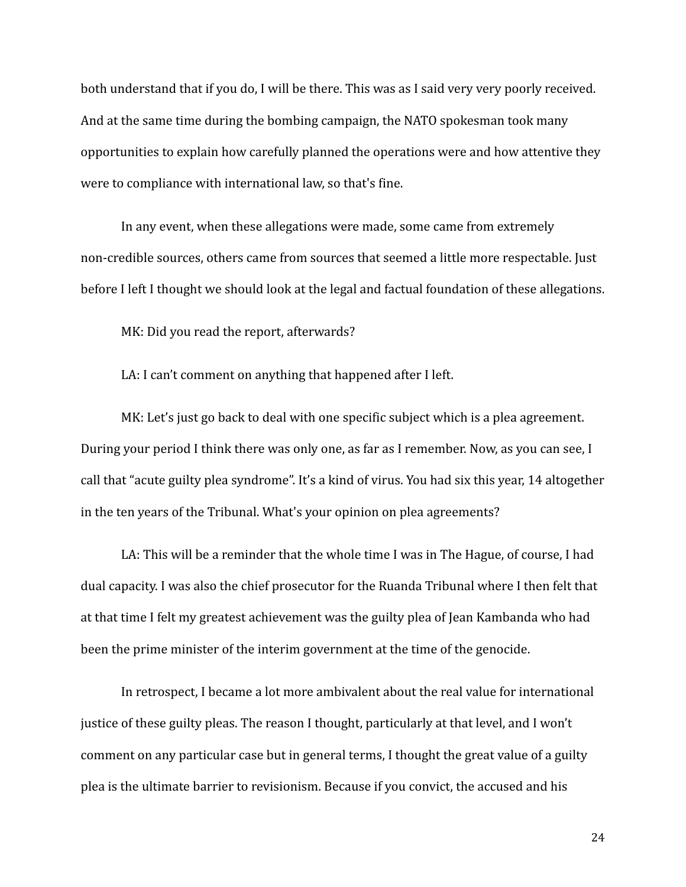both understand that if you do, I will be there. This was as I said very very poorly received. And at the same time during the bombing campaign, the NATO spokesman took many opportunities to explain how carefully planned the operations were and how attentive they were to compliance with international law, so that's fine.

In any event, when these allegations were made, some came from extremely non-credible sources, others came from sources that seemed a little more respectable. Just before I left I thought we should look at the legal and factual foundation of these allegations.

MK: Did you read the report, afterwards?

LA: I can't comment on anything that happened after I left.

MK: Let's just go back to deal with one specific subject which is a plea agreement. During your period I think there was only one, as far as I remember. Now, as you can see, I call that "acute guilty plea syndrome". It's a kind of virus. You had six this year, 14 altogether in the ten years of the Tribunal. What's your opinion on plea agreements?

LA: This will be a reminder that the whole time I was in The Hague, of course, I had dual capacity. I was also the chief prosecutor for the Ruanda Tribunal where I then felt that at that time I felt my greatest achievement was the guilty plea of Jean Kambanda who had been the prime minister of the interim government at the time of the genocide.

In retrospect, I became a lot more ambivalent about the real value for international justice of these guilty pleas. The reason I thought, particularly at that level, and I won't comment on any particular case but in general terms, I thought the great value of a guilty plea is the ultimate barrier to revisionism. Because if you convict, the accused and his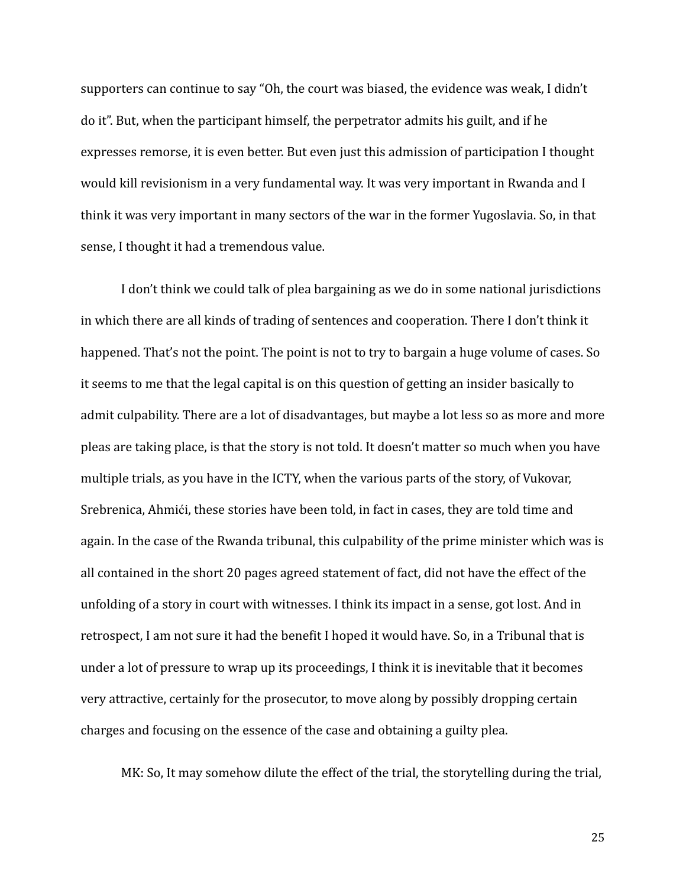supporters can continue to say "Oh, the court was biased, the evidence was weak, I didn't do it". But, when the participant himself, the perpetrator admits his guilt, and if he expresses remorse, it is even better. But even just this admission of participation I thought would kill revisionism in a very fundamental way. It was very important in Rwanda and I think it was very important in many sectors of the war in the former Yugoslavia. So, in that sense, I thought it had a tremendous value.

I don't think we could talk of plea bargaining as we do in some national jurisdictions in which there are all kinds of trading of sentences and cooperation. There I don't think it happened. That's not the point. The point is not to try to bargain a huge volume of cases. So it seems to me that the legal capital is on this question of getting an insider basically to admit culpability. There are a lot of disadvantages, but maybe a lot less so as more and more pleas are taking place, is that the story is not told. It doesn't matter so much when you have multiple trials, as you have in the ICTY, when the various parts of the story, of Vukovar, Srebrenica, Ahmići, these stories have been told, in fact in cases, they are told time and again. In the case of the Rwanda tribunal, this culpability of the prime minister which was is all contained in the short 20 pages agreed statement of fact, did not have the effect of the unfolding of a story in court with witnesses. I think its impact in a sense, got lost. And in retrospect, I am not sure it had the benefit I hoped it would have. So, in a Tribunal that is under a lot of pressure to wrap up its proceedings, I think it is inevitable that it becomes very attractive, certainly for the prosecutor, to move along by possibly dropping certain charges and focusing on the essence of the case and obtaining a guilty plea.

MK: So, It may somehow dilute the effect of the trial, the storytelling during the trial,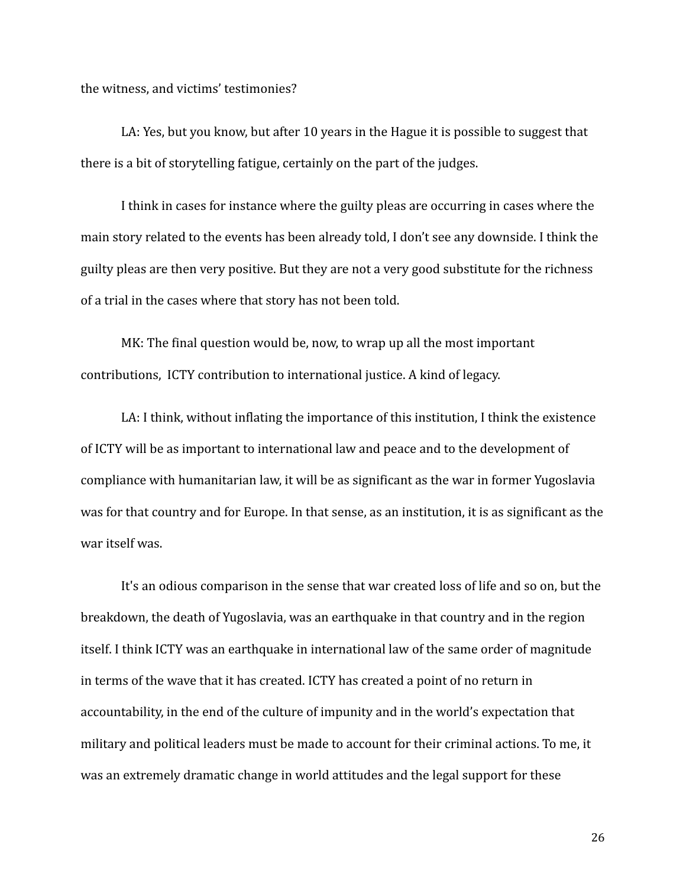the witness, and victims' testimonies?

LA: Yes, but you know, but after 10 years in the Hague it is possible to suggest that there is a bit of storytelling fatigue, certainly on the part of the judges.

I think in cases for instance where the guilty pleas are occurring in cases where the main story related to the events has been already told, I don't see any downside. I think the guilty pleas are then very positive. But they are not a very good substitute for the richness of a trial in the cases where that story has not been told.

MK: The final question would be, now, to wrap up all the most important contributions, ICTY contribution to international justice. A kind of legacy.

LA: I think, without inflating the importance of this institution, I think the existence of ICTY will be as important to international law and peace and to the development of compliance with humanitarian law, it will be as significant as the war in former Yugoslavia was for that country and for Europe. In that sense, as an institution, it is as significant as the war itself was.

It's an odious comparison in the sense that war created loss of life and so on, but the breakdown, the death of Yugoslavia, was an earthquake in that country and in the region itself. I think ICTY was an earthquake in international law of the same order of magnitude in terms of the wave that it has created. ICTY has created a point of no return in accountability, in the end of the culture of impunity and in the world's expectation that military and political leaders must be made to account for their criminal actions. To me, it was an extremely dramatic change in world attitudes and the legal support for these